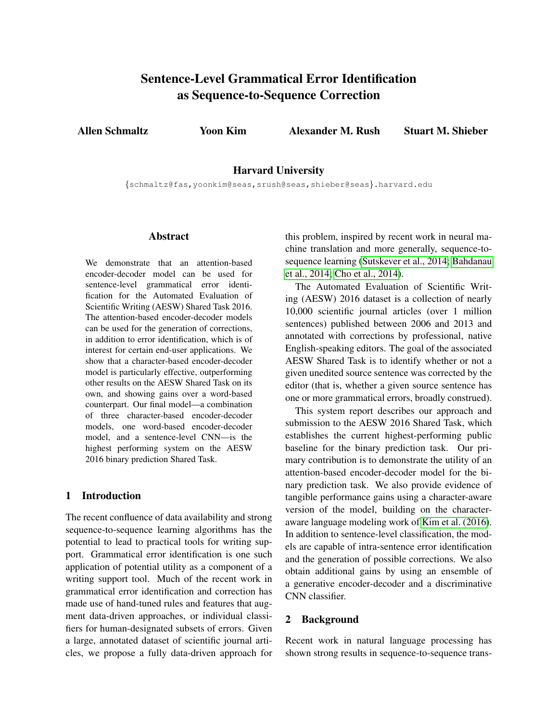# Sentence-Level Grammatical Error Identification as Sequence-to-Sequence Correction

<span id="page-0-0"></span>Allen Schmaltz Yoon Kim Alexander M. Rush Stuart M. Shieber

Harvard University

{schmaltz@fas,yoonkim@seas,srush@seas,shieber@seas}.harvard.edu

### Abstract

We demonstrate that an attention-based encoder-decoder model can be used for sentence-level grammatical error identification for the Automated Evaluation of Scientific Writing (AESW) Shared Task 2016. The attention-based encoder-decoder models can be used for the generation of corrections, in addition to error identification, which is of interest for certain end-user applications. We show that a character-based encoder-decoder model is particularly effective, outperforming other results on the AESW Shared Task on its own, and showing gains over a word-based counterpart. Our final model—a combination of three character-based encoder-decoder models, one word-based encoder-decoder model, and a sentence-level CNN—is the highest performing system on the AESW 2016 binary prediction Shared Task.

## 1 Introduction

The recent confluence of data availability and strong sequence-to-sequence learning algorithms has the potential to lead to practical tools for writing support. Grammatical error identification is one such application of potential utility as a component of a writing support tool. Much of the recent work in grammatical error identification and correction has made use of hand-tuned rules and features that augment data-driven approaches, or individual classifiers for human-designated subsets of errors. Given a large, annotated dataset of scientific journal articles, we propose a fully data-driven approach for this problem, inspired by recent work in neural machine translation and more generally, sequence-tosequence learning (Sutskever et al., 2014; Bahdanau et al., 2014; Cho et al., 2014).

The Automated Evaluation of Scientific Writing (AESW) 2016 dataset is a collection of nearly 10,000 scientific journal articles (over 1 million sentences) published between 2006 and 2013 and annotated with corrections by professional, native English-speaking editors. The goal of the associated AESW Shared Task is to identify whether or not a given unedited source sentence was corrected by the editor (that is, whether a given source sentence has one or more grammatical errors, broadly construed).

This system report describes our approach and submission to the AESW 2016 Shared Task, which establishes the current highest-performing public baseline for the binary prediction task. Our primary contribution is to demonstrate the utility of an attention-based encoder-decoder model for the binary prediction task. We also provide evidence of tangible performance gains using a character-aware version of the model, building on the characteraware language modeling work of Kim et al. (2016). In addition to sentence-level classification, the models are capable of intra-sentence error identification and the generation of possible corrections. We also obtain additional gains by using an ensemble of a generative encoder-decoder and a discriminative CNN classifier.

# 2 Background

Recent work in natural language processing has shown strong results in sequence-to-sequence trans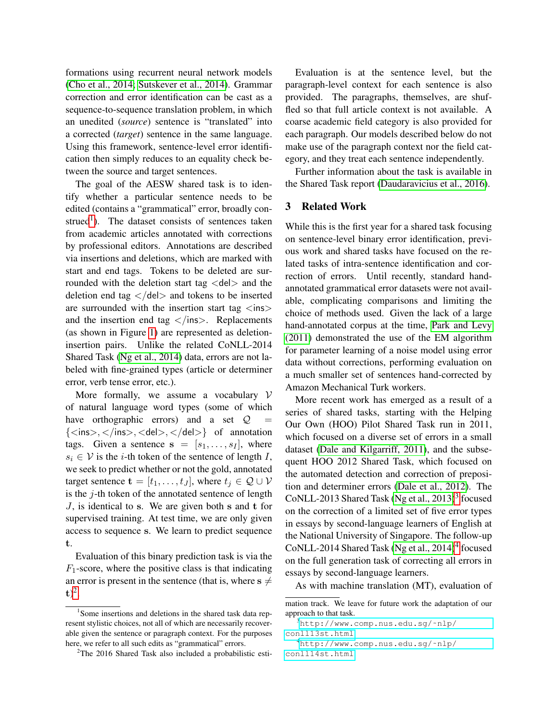formations using recurrent neural network models [\(Cho et al., 2014; Sutskever et al., 2014\)](#page-0-0). Grammar correction and error identification can be cast as a sequence-to-sequence translation problem, in which an unedited (*source*) sentence is "translated" into a corrected (*target*) sentence in the same language. Using this framework, sentence-level error identification then simply reduces to an equality check between the source and target sentences.

The goal of the AESW shared task is to identify whether a particular sentence needs to be edited (contains a "grammatical" error, broadly con-strued<sup>[1](#page-1-0)</sup>). The dataset consists of sentences taken from academic articles annotated with corrections by professional editors. Annotations are described via insertions and deletions, which are marked with start and end tags. Tokens to be deleted are surrounded with the deletion start tag  $\langle$ del $>$  and the deletion end tag  $\langle$  del $>$  and tokens to be inserted are surrounded with the insertion start tag  $\langle$ ins $\rangle$ and the insertion end tag  $\langle$ ins $\rangle$ . Replacements (as shown in Figure [1\)](#page-3-0) are represented as deletioninsertion pairs. Unlike the related CoNLL-2014 Shared Task [\(Ng et al., 2014\)](#page-0-0) data, errors are not labeled with fine-grained types (article or determiner error, verb tense error, etc.).

More formally, we assume a vocabulary  $V$ of natural language word types (some of which have orthographic errors) and a set  $Q$  $\{\langle \text{ins}\rangle, \langle \text{ins}\rangle, \langle \text{del}\rangle, \langle \text{del}\rangle\}$  of annotation tags. Given a sentence  $s = [s_1, \ldots, s_I]$ , where  $s_i \in V$  is the *i*-th token of the sentence of length I, we seek to predict whether or not the gold, annotated target sentence  $\mathbf{t} = [t_1, \dots, t_J]$ , where  $t_j \in \mathcal{Q} \cup \mathcal{V}$ is the  $j$ -th token of the annotated sentence of length  $J$ , is identical to s. We are given both s and t for supervised training. At test time, we are only given access to sequence s. We learn to predict sequence t.

Evaluation of this binary prediction task is via the  $F_1$ -score, where the positive class is that indicating an error is present in the sentence (that is, where  $s \neq$  $t)^2$  $t)^2$ .

Evaluation is at the sentence level, but the paragraph-level context for each sentence is also provided. The paragraphs, themselves, are shuffled so that full article context is not available. A coarse academic field category is also provided for each paragraph. Our models described below do not make use of the paragraph context nor the field category, and they treat each sentence independently.

Further information about the task is available in the Shared Task report [\(Daudaravicius et al., 2016\)](#page-0-0).

### 3 Related Work

While this is the first year for a shared task focusing on sentence-level binary error identification, previous work and shared tasks have focused on the related tasks of intra-sentence identification and correction of errors. Until recently, standard handannotated grammatical error datasets were not available, complicating comparisons and limiting the choice of methods used. Given the lack of a large hand-annotated corpus at the time, [Park and Levy](#page-0-0) [\(2011\)](#page-0-0) demonstrated the use of the EM algorithm for parameter learning of a noise model using error data without corrections, performing evaluation on a much smaller set of sentences hand-corrected by Amazon Mechanical Turk workers.

More recent work has emerged as a result of a series of shared tasks, starting with the Helping Our Own (HOO) Pilot Shared Task run in 2011, which focused on a diverse set of errors in a small dataset [\(Dale and Kilgarriff, 2011\)](#page-0-0), and the subsequent HOO 2012 Shared Task, which focused on the automated detection and correction of preposition and determiner errors [\(Dale et al., 2012\)](#page-0-0). The CoNLL-201[3](#page-1-2) Shared Task (Ng et al.,  $2013)^3$  focused on the correction of a limited set of five error types in essays by second-language learners of English at the National University of Singapore. The follow-up  $\text{CoNLL-2014}$  $\text{CoNLL-2014}$  $\text{CoNLL-2014}$  Shared Task [\(Ng et al., 2014\)](#page-0-0)<sup>4</sup> focused on the full generation task of correcting all errors in essays by second-language learners.

As with machine translation (MT), evaluation of

<span id="page-1-0"></span><sup>&</sup>lt;sup>1</sup>Some insertions and deletions in the shared task data represent stylistic choices, not all of which are necessarily recoverable given the sentence or paragraph context. For the purposes here, we refer to all such edits as "grammatical" errors.

<span id="page-1-1"></span> $2$ The 2016 Shared Task also included a probabilistic esti-

mation track. We leave for future work the adaptation of our approach to that task.

<span id="page-1-2"></span><sup>3</sup>[http://www.comp.nus.edu.sg/˜nlp/](http://www.comp.nus.edu.sg/~nlp/conll13st.html) [conll13st.html](http://www.comp.nus.edu.sg/~nlp/conll13st.html)

<span id="page-1-3"></span><sup>4</sup>[http://www.comp.nus.edu.sg/˜nlp/](http://www.comp.nus.edu.sg/~nlp/conll14st.html) [conll14st.html](http://www.comp.nus.edu.sg/~nlp/conll14st.html)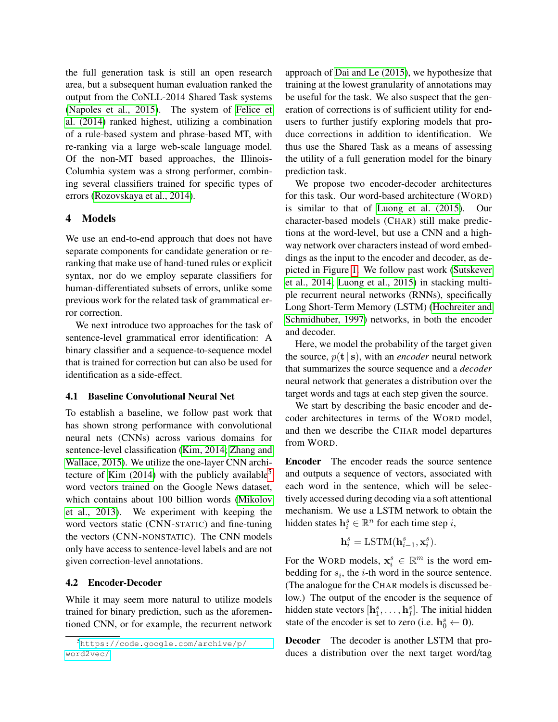the full generation task is still an open research area, but a subsequent human evaluation ranked the output from the CoNLL-2014 Shared Task systems [\(Napoles et al., 2015\)](#page-0-0). The system of [Felice et](#page-0-0) [al. \(2014\)](#page-0-0) ranked highest, utilizing a combination of a rule-based system and phrase-based MT, with re-ranking via a large web-scale language model. Of the non-MT based approaches, the Illinois-Columbia system was a strong performer, combining several classifiers trained for specific types of errors [\(Rozovskaya et al., 2014\)](#page-0-0).

# 4 Models

We use an end-to-end approach that does not have separate components for candidate generation or reranking that make use of hand-tuned rules or explicit syntax, nor do we employ separate classifiers for human-differentiated subsets of errors, unlike some previous work for the related task of grammatical error correction.

We next introduce two approaches for the task of sentence-level grammatical error identification: A binary classifier and a sequence-to-sequence model that is trained for correction but can also be used for identification as a side-effect.

### 4.1 Baseline Convolutional Neural Net

To establish a baseline, we follow past work that has shown strong performance with convolutional neural nets (CNNs) across various domains for sentence-level classification [\(Kim, 2014; Zhang and](#page-0-0) [Wallace, 2015\)](#page-0-0). We utilize the one-layer CNN architecture of Kim  $(2014)$  with the publicly available<sup>[5](#page-2-0)</sup> word vectors trained on the Google News dataset, which contains about 100 billion words [\(Mikolov](#page-0-0) [et al., 2013\)](#page-0-0). We experiment with keeping the word vectors static (CNN-STATIC) and fine-tuning the vectors (CNN-NONSTATIC). The CNN models only have access to sentence-level labels and are not given correction-level annotations.

### <span id="page-2-1"></span>4.2 Encoder-Decoder

While it may seem more natural to utilize models trained for binary prediction, such as the aforementioned CNN, or for example, the recurrent network approach of [Dai and Le \(2015\)](#page-0-0), we hypothesize that training at the lowest granularity of annotations may be useful for the task. We also suspect that the generation of corrections is of sufficient utility for endusers to further justify exploring models that produce corrections in addition to identification. We thus use the Shared Task as a means of assessing the utility of a full generation model for the binary prediction task.

We propose two encoder-decoder architectures for this task. Our word-based architecture (WORD) is similar to that of [Luong et al. \(2015\)](#page-0-0). Our character-based models (CHAR) still make predictions at the word-level, but use a CNN and a highway network over characters instead of word embeddings as the input to the encoder and decoder, as depicted in Figure [1.](#page-3-0) We follow past work [\(Sutskever](#page-0-0) [et al., 2014; Luong et al., 2015\)](#page-0-0) in stacking multiple recurrent neural networks (RNNs), specifically Long Short-Term Memory (LSTM) [\(Hochreiter and](#page-0-0) [Schmidhuber, 1997\)](#page-0-0) networks, in both the encoder and decoder.

Here, we model the probability of the target given the source,  $p(t | s)$ , with an *encoder* neural network that summarizes the source sequence and a *decoder* neural network that generates a distribution over the target words and tags at each step given the source.

We start by describing the basic encoder and decoder architectures in terms of the WORD model, and then we describe the CHAR model departures from WORD.

Encoder The encoder reads the source sentence and outputs a sequence of vectors, associated with each word in the sentence, which will be selectively accessed during decoding via a soft attentional mechanism. We use a LSTM network to obtain the hidden states  $\mathbf{h}_i^s \in \mathbb{R}^n$  for each time step *i*,

$$
\mathbf{h}_i^s = \text{LSTM}(\mathbf{h}_{i-1}^s, \mathbf{x}_i^s).
$$

For the WORD models,  $x_i^s \in \mathbb{R}^m$  is the word embedding for  $s_i$ , the *i*-th word in the source sentence. (The analogue for the CHAR models is discussed below.) The output of the encoder is the sequence of hidden state vectors  $[\mathbf{h}_1^s, \dots, \mathbf{h}_I^s]$ . The initial hidden state of the encoder is set to zero (i.e.  $\mathbf{h}_0^s \leftarrow \mathbf{0}$ ).

Decoder The decoder is another LSTM that produces a distribution over the next target word/tag

<span id="page-2-0"></span><sup>5</sup>[https://code.google.com/archive/p/](https://code.google.com/archive/p/word2vec/) [word2vec/](https://code.google.com/archive/p/word2vec/)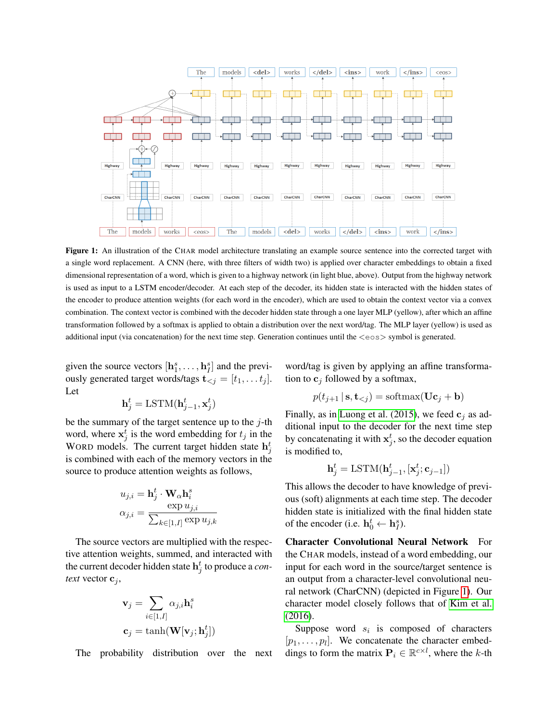<span id="page-3-0"></span>

Figure 1: An illustration of the CHAR model architecture translating an example source sentence into the corrected target with a single word replacement. A CNN (here, with three filters of width two) is applied over character embeddings to obtain a fixed dimensional representation of a word, which is given to a highway network (in light blue, above). Output from the highway network is used as input to a LSTM encoder/decoder. At each step of the decoder, its hidden state is interacted with the hidden states of the encoder to produce attention weights (for each word in the encoder), which are used to obtain the context vector via a convex combination. The context vector is combined with the decoder hidden state through a one layer MLP (yellow), after which an affine transformation followed by a softmax is applied to obtain a distribution over the next word/tag. The MLP layer (yellow) is used as additional input (via concatenation) for the next time step. Generation continues until the  $\langle \cos \rangle$  symbol is generated.

given the source vectors  $[\mathbf{h}_1^s, \dots, \mathbf{h}_I^s]$  and the previously generated target words/tags  $\mathbf{t}_{< j} = [t_1, \dots t_j].$ Let

$$
\mathbf{h}_j^t = \text{LSTM}(\mathbf{h}_{j-1}^t, \mathbf{x}_j^t)
$$

be the summary of the target sentence up to the  $j$ -th word, where  $x_j^t$  is the word embedding for  $t_j$  in the WORD models. The current target hidden state  $h_j^t$ is combined with each of the memory vectors in the source to produce attention weights as follows,

$$
u_{j,i} = \mathbf{h}_j^t \cdot \mathbf{W}_{\alpha} \mathbf{h}_i^s
$$

$$
\alpha_{j,i} = \frac{\exp u_{j,i}}{\sum_{k \in [1,I]} \exp u_{j,k}}
$$

The source vectors are multiplied with the respective attention weights, summed, and interacted with the current decoder hidden state  $\mathbf{h}_j^t$  to produce a *context* vector  $c_j$ ,

$$
\mathbf{v}_j = \sum_{i \in [1, I]} \alpha_{j,i} \mathbf{h}_i^s
$$

$$
\mathbf{c}_j = \tanh(\mathbf{W}[\mathbf{v}_j; \mathbf{h}_j^t])
$$

The probability distribution over the next

word/tag is given by applying an affine transformation to  $c_j$  followed by a softmax,

$$
p(t_{j+1} | \mathbf{s}, \mathbf{t}_{
$$

Finally, as in [Luong et al. \(2015\)](#page-0-0), we feed  $c_i$  as additional input to the decoder for the next time step by concatenating it with  $x_j^t$ , so the decoder equation is modified to,

$$
\mathbf{h}_j^t = \text{LSTM}(\mathbf{h}_{j-1}^t, [\mathbf{x}_j^t; \mathbf{c}_{j-1}])
$$

This allows the decoder to have knowledge of previous (soft) alignments at each time step. The decoder hidden state is initialized with the final hidden state of the encoder (i.e.  $\mathbf{h}_0^t \leftarrow \mathbf{h}_I^s$ ).

Character Convolutional Neural Network For the CHAR models, instead of a word embedding, our input for each word in the source/target sentence is an output from a character-level convolutional neural network (CharCNN) (depicted in Figure [1\)](#page-3-0). Our character model closely follows that of [Kim et al.](#page-0-0) [\(2016\)](#page-0-0).

Suppose word  $s_i$  is composed of characters  $[p_1, \ldots, p_l]$ . We concatenate the character embeddings to form the matrix  $P_i \in \mathbb{R}^{c \times l}$ , where the k-th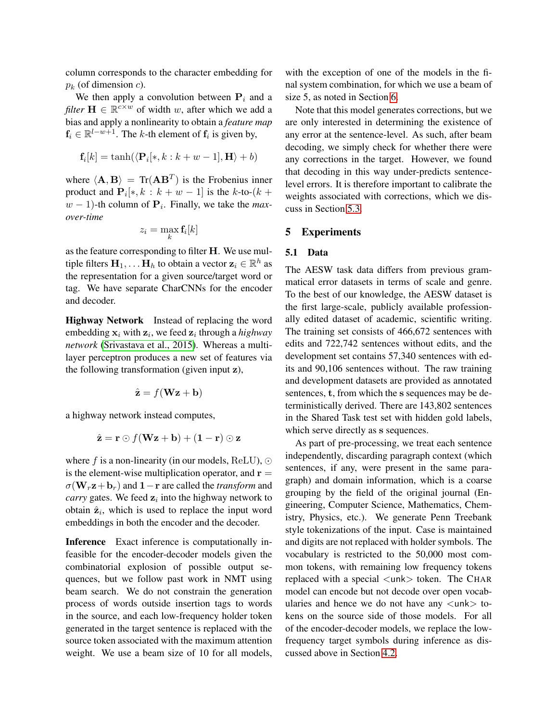column corresponds to the character embedding for  $p_k$  (of dimension *c*).

We then apply a convolution between  $P_i$  and a *filter*  $H \in \mathbb{R}^{c \times w}$  of width w, after which we add a bias and apply a nonlinearity to obtain a *feature map*  $f_i \in \mathbb{R}^{l-w+1}$ . The k-th element of  $f_i$  is given by,

$$
\mathbf{f}_i[k] = \tanh(\langle \mathbf{P}_i[*,k:k+w-1],\mathbf{H}\rangle + b)
$$

where  $\langle \mathbf{A}, \mathbf{B} \rangle = \text{Tr}(\mathbf{A}\mathbf{B}^T)$  is the Frobenius inner product and  $\mathbf{P}_i[*, k : k + w - 1]$  is the k-to- $(k +$  $w - 1$ )-th column of  $P_i$ . Finally, we take the *maxover-time*

$$
z_i = \max_k \mathbf{f}_i[k]
$$

as the feature corresponding to filter H. We use multiple filters  $\mathbf{H}_1, \dots \mathbf{H}_h$  to obtain a vector  $\mathbf{z}_i \in \mathbb{R}^h$  as the representation for a given source/target word or tag. We have separate CharCNNs for the encoder and decoder.

Highway Network Instead of replacing the word embedding  $x_i$  with  $z_i$ , we feed  $z_i$  through a *highway network* [\(Srivastava et al., 2015\)](#page-0-0). Whereas a multilayer perceptron produces a new set of features via the following transformation (given input z),

$$
\hat{\mathbf{z}} = f(\mathbf{W}\mathbf{z} + \mathbf{b})
$$

a highway network instead computes,

$$
\hat{\mathbf{z}} = \mathbf{r} \odot f(\mathbf{Wz} + \mathbf{b}) + (\mathbf{1} - \mathbf{r}) \odot \mathbf{z}
$$

where f is a non-linearity (in our models, ReLU),  $\odot$ is the element-wise multiplication operator, and  $\mathbf{r} =$  $\sigma(\mathbf{W}_r\mathbf{z}+\mathbf{b}_r)$  and  $1-\mathbf{r}$  are called the *transform* and *carry* gates. We feed  $z_i$  into the highway network to obtain  $\hat{\mathbf{z}}_i$ , which is used to replace the input word embeddings in both the encoder and the decoder.

Inference Exact inference is computationally infeasible for the encoder-decoder models given the combinatorial explosion of possible output sequences, but we follow past work in NMT using beam search. We do not constrain the generation process of words outside insertion tags to words in the source, and each low-frequency holder token generated in the target sentence is replaced with the source token associated with the maximum attention weight. We use a beam size of 10 for all models,

with the exception of one of the models in the final system combination, for which we use a beam of size 5, as noted in Section [6.](#page-6-0)

Note that this model generates corrections, but we are only interested in determining the existence of any error at the sentence-level. As such, after beam decoding, we simply check for whether there were any corrections in the target. However, we found that decoding in this way under-predicts sentencelevel errors. It is therefore important to calibrate the weights associated with corrections, which we discuss in Section [5.3.](#page-5-0)

### 5 Experiments

#### 5.1 Data

The AESW task data differs from previous grammatical error datasets in terms of scale and genre. To the best of our knowledge, the AESW dataset is the first large-scale, publicly available professionally edited dataset of academic, scientific writing. The training set consists of 466,672 sentences with edits and 722,742 sentences without edits, and the development set contains 57,340 sentences with edits and 90,106 sentences without. The raw training and development datasets are provided as annotated sentences, t, from which the s sequences may be deterministically derived. There are 143,802 sentences in the Shared Task test set with hidden gold labels, which serve directly as s sequences.

As part of pre-processing, we treat each sentence independently, discarding paragraph context (which sentences, if any, were present in the same paragraph) and domain information, which is a coarse grouping by the field of the original journal (Engineering, Computer Science, Mathematics, Chemistry, Physics, etc.). We generate Penn Treebank style tokenizations of the input. Case is maintained and digits are not replaced with holder symbols. The vocabulary is restricted to the 50,000 most common tokens, with remaining low frequency tokens replaced with a special  $\langle$ unk $\rangle$  token. The CHAR model can encode but not decode over open vocabularies and hence we do not have any  $\langle$ unk $>$  tokens on the source side of those models. For all of the encoder-decoder models, we replace the lowfrequency target symbols during inference as discussed above in Section [4.2.](#page-2-1)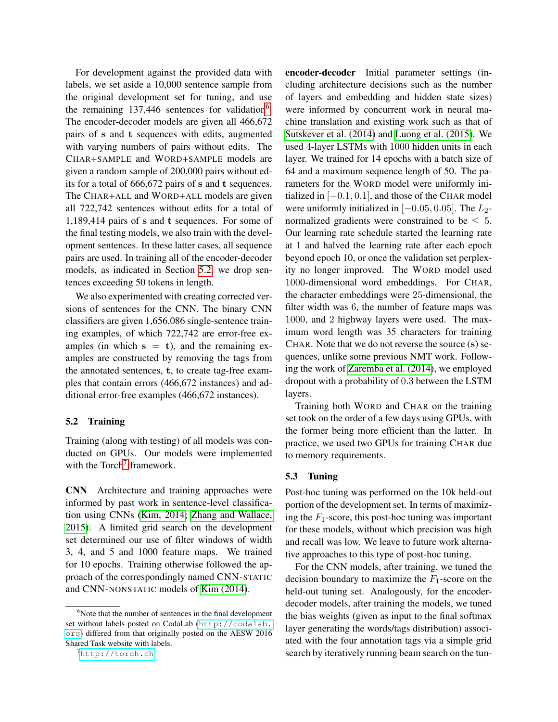For development against the provided data with labels, we set aside a 10,000 sentence sample from the original development set for tuning, and use the remaining  $137,446$  $137,446$  sentences for validation<sup>6</sup>. The encoder-decoder models are given all 466,672 pairs of s and t sequences with edits, augmented with varying numbers of pairs without edits. The CHAR+SAMPLE and WORD+SAMPLE models are given a random sample of 200,000 pairs without edits for a total of 666,672 pairs of s and t sequences. The CHAR+ALL and WORD+ALL models are given all 722,742 sentences without edits for a total of 1,189,414 pairs of s and t sequences. For some of the final testing models, we also train with the development sentences. In these latter cases, all sequence pairs are used. In training all of the encoder-decoder models, as indicated in Section [5.2,](#page-5-2) we drop sentences exceeding 50 tokens in length.

We also experimented with creating corrected versions of sentences for the CNN. The binary CNN classifiers are given 1,656,086 single-sentence training examples, of which 722,742 are error-free examples (in which  $s = t$ ), and the remaining examples are constructed by removing the tags from the annotated sentences, t, to create tag-free examples that contain errors (466,672 instances) and additional error-free examples (466,672 instances).

### <span id="page-5-2"></span>5.2 Training

Training (along with testing) of all models was conducted on GPUs. Our models were implemented with the Torch<sup>[7](#page-5-3)</sup> framework.

CNN Architecture and training approaches were informed by past work in sentence-level classification using CNNs [\(Kim, 2014; Zhang and Wallace,](#page-0-0) [2015\)](#page-0-0). A limited grid search on the development set determined our use of filter windows of width 3, 4, and 5 and 1000 feature maps. We trained for 10 epochs. Training otherwise followed the approach of the correspondingly named CNN-STATIC and CNN-NONSTATIC models of [Kim \(2014\)](#page-0-0).

encoder-decoder Initial parameter settings (including architecture decisions such as the number of layers and embedding and hidden state sizes) were informed by concurrent work in neural machine translation and existing work such as that of [Sutskever et al. \(2014\)](#page-0-0) and [Luong et al. \(2015\)](#page-0-0). We used 4-layer LSTMs with 1000 hidden units in each layer. We trained for 14 epochs with a batch size of 64 and a maximum sequence length of 50. The parameters for the WORD model were uniformly initialized in  $[-0.1, 0.1]$ , and those of the CHAR model were uniformly initialized in  $[-0.05, 0.05]$ . The  $L_2$ normalized gradients were constrained to be  $\leq 5$ . Our learning rate schedule started the learning rate at 1 and halved the learning rate after each epoch beyond epoch 10, or once the validation set perplexity no longer improved. The WORD model used 1000-dimensional word embeddings. For CHAR, the character embeddings were 25-dimensional, the filter width was 6, the number of feature maps was 1000, and 2 highway layers were used. The maximum word length was 35 characters for training CHAR. Note that we do not reverse the source (s) sequences, unlike some previous NMT work. Following the work of [Zaremba et al. \(2014\)](#page-0-0), we employed dropout with a probability of 0.3 between the LSTM layers.

Training both WORD and CHAR on the training set took on the order of a few days using GPUs, with the former being more efficient than the latter. In practice, we used two GPUs for training CHAR due to memory requirements.

### <span id="page-5-0"></span>5.3 Tuning

Post-hoc tuning was performed on the 10k held-out portion of the development set. In terms of maximizing the  $F_1$ -score, this post-hoc tuning was important for these models, without which precision was high and recall was low. We leave to future work alternative approaches to this type of post-hoc tuning.

For the CNN models, after training, we tuned the decision boundary to maximize the  $F_1$ -score on the held-out tuning set. Analogously, for the encoderdecoder models, after training the models, we tuned the bias weights (given as input to the final softmax layer generating the words/tags distribution) associated with the four annotation tags via a simple grid search by iteratively running beam search on the tun-

<span id="page-5-1"></span> $6$ Note that the number of sentences in the final development set without labels posted on CodaLab ([http://codalab.](http://codalab.org) [org](http://codalab.org)) differed from that originally posted on the AESW 2016 Shared Task website with labels.

<span id="page-5-3"></span> $<sup>7</sup>$ <http://torch.ch></sup>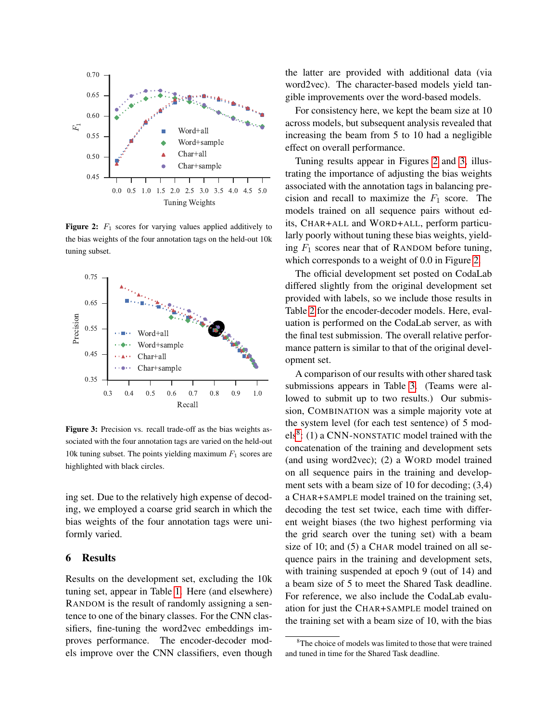<span id="page-6-1"></span>

**Figure 2:**  $F_1$  scores for varying values applied additively to the bias weights of the four annotation tags on the held-out 10k tuning subset.

<span id="page-6-2"></span>

Figure 3: Precision vs. recall trade-off as the bias weights associated with the four annotation tags are varied on the held-out 10k tuning subset. The points yielding maximum  $F_1$  scores are highlighted with black circles.

ing set. Due to the relatively high expense of decoding, we employed a coarse grid search in which the bias weights of the four annotation tags were uniformly varied.

#### <span id="page-6-0"></span>6 Results

Results on the development set, excluding the 10k tuning set, appear in Table [1.](#page-7-0) Here (and elsewhere) RANDOM is the result of randomly assigning a sentence to one of the binary classes. For the CNN classifiers, fine-tuning the word2vec embeddings improves performance. The encoder-decoder models improve over the CNN classifiers, even though the latter are provided with additional data (via word2vec). The character-based models yield tangible improvements over the word-based models.

For consistency here, we kept the beam size at 10 across models, but subsequent analysis revealed that increasing the beam from 5 to 10 had a negligible effect on overall performance.

Tuning results appear in Figures [2](#page-6-1) and [3,](#page-6-2) illustrating the importance of adjusting the bias weights associated with the annotation tags in balancing precision and recall to maximize the  $F_1$  score. The models trained on all sequence pairs without edits, CHAR+ALL and WORD+ALL, perform particularly poorly without tuning these bias weights, yielding  $F_1$  scores near that of RANDOM before tuning, which corresponds to a weight of 0.0 in Figure [2.](#page-6-1)

The official development set posted on CodaLab differed slightly from the original development set provided with labels, so we include those results in Table [2](#page-7-1) for the encoder-decoder models. Here, evaluation is performed on the CodaLab server, as with the final test submission. The overall relative performance pattern is similar to that of the original development set.

A comparison of our results with other shared task submissions appears in Table [3.](#page-7-2) (Teams were allowed to submit up to two results.) Our submission, COMBINATION was a simple majority vote at the system level (for each test sentence) of 5 mod- $els<sup>8</sup>$  $els<sup>8</sup>$  $els<sup>8</sup>$ : (1) a CNN-NONSTATIC model trained with the concatenation of the training and development sets (and using word2vec); (2) a WORD model trained on all sequence pairs in the training and development sets with a beam size of 10 for decoding; (3,4) a CHAR+SAMPLE model trained on the training set, decoding the test set twice, each time with different weight biases (the two highest performing via the grid search over the tuning set) with a beam size of 10; and (5) a CHAR model trained on all sequence pairs in the training and development sets, with training suspended at epoch 9 (out of 14) and a beam size of 5 to meet the Shared Task deadline. For reference, we also include the CodaLab evaluation for just the CHAR+SAMPLE model trained on the training set with a beam size of 10, with the bias

<span id="page-6-3"></span><sup>&</sup>lt;sup>8</sup>The choice of models was limited to those that were trained and tuned in time for the Shared Task deadline.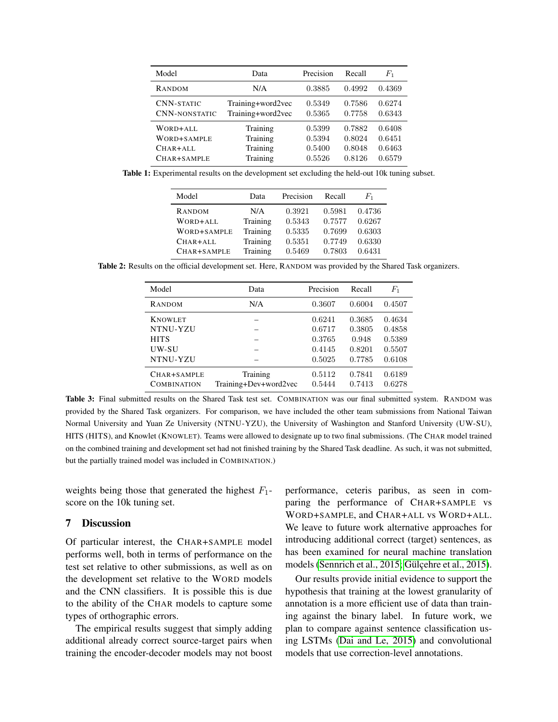<span id="page-7-0"></span>

| Model                | Data              | Precision | Recall | $F_{1}$ |
|----------------------|-------------------|-----------|--------|---------|
| RANDOM               | N/A               | 0.3885    | 0.4992 | 0.4369  |
| <b>CNN-STATIC</b>    | Training+word2vec | 0.5349    | 0.7586 | 0.6274  |
| <b>CNN-NONSTATIC</b> | Training+word2vec | 0.5365    | 0.7758 | 0.6343  |
| WORD+ALL             | Training          | 0.5399    | 0.7882 | 0.6408  |
| WORD+SAMPLE          | Training          | 0.5394    | 0.8024 | 0.6451  |
| $CHAR+ALL$           | Training          | 0.5400    | 0.8048 | 0.6463  |
| $CHAR+SAMPLE$        | Training          | 0.5526    | 0.8126 | 0.6579  |

<span id="page-7-1"></span>Table 1: Experimental results on the development set excluding the held-out 10k tuning subset.

| Model       | Data     | Precision | Recall | $F_1$  |
|-------------|----------|-----------|--------|--------|
| RANDOM      | N/A      | 0.3921    | 0.5981 | 0.4736 |
| WORD+ALL    | Training | 0.5343    | 0.7577 | 0.6267 |
| WORD+SAMPLE | Training | 0.5335    | 0.7699 | 0.6303 |
| CHAR+ALL    | Training | 0.5351    | 0.7749 | 0.6330 |
| CHAR+SAMPLE | Training | 0.5469    | 0.7803 | 0.6431 |

<span id="page-7-2"></span>Table 2: Results on the official development set. Here, RANDOM was provided by the Shared Task organizers.

| Model              | Data                  | Precision | Recall | $F_{1}$ |
|--------------------|-----------------------|-----------|--------|---------|
| <b>RANDOM</b>      | N/A                   | 0.3607    | 0.6004 | 0.4507  |
| <b>KNOWLET</b>     |                       | 0.6241    | 0.3685 | 0.4634  |
| NTNU-YZU           |                       | 0.6717    | 0.3805 | 0.4858  |
| <b>HITS</b>        |                       | 0.3765    | 0.948  | 0.5389  |
| UW-SU              |                       | 0.4145    | 0.8201 | 0.5507  |
| NTNU-YZU           |                       | 0.5025    | 0.7785 | 0.6108  |
| $CHAR+SAMPLE$      | Training              | 0.5112    | 0.7841 | 0.6189  |
| <b>COMBINATION</b> | Training+Dev+word2vec | 0.5444    | 0.7413 | 0.6278  |

Table 3: Final submitted results on the Shared Task test set. COMBINATION was our final submitted system. RANDOM was provided by the Shared Task organizers. For comparison, we have included the other team submissions from National Taiwan Normal University and Yuan Ze University (NTNU-YZU), the University of Washington and Stanford University (UW-SU), HITS (HITS), and Knowlet (KNOWLET). Teams were allowed to designate up to two final submissions. (The CHAR model trained on the combined training and development set had not finished training by the Shared Task deadline. As such, it was not submitted, but the partially trained model was included in COMBINATION.)

weights being those that generated the highest  $F_1$ score on the 10k tuning set.

### 7 Discussion

Of particular interest, the CHAR+SAMPLE model performs well, both in terms of performance on the test set relative to other submissions, as well as on the development set relative to the WORD models and the CNN classifiers. It is possible this is due to the ability of the CHAR models to capture some types of orthographic errors.

The empirical results suggest that simply adding additional already correct source-target pairs when training the encoder-decoder models may not boost performance, ceteris paribus, as seen in comparing the performance of CHAR+SAMPLE vs WORD+SAMPLE, and CHAR+ALL vs WORD+ALL. We leave to future work alternative approaches for introducing additional correct (target) sentences, as has been examined for neural machine translation models (Sennrich et al., 2015; Gülçehre et al., 2015).

Our results provide initial evidence to support the hypothesis that training at the lowest granularity of annotation is a more efficient use of data than training against the binary label. In future work, we plan to compare against sentence classification using LSTMs [\(Dai and Le, 2015\)](#page-0-0) and convolutional models that use correction-level annotations.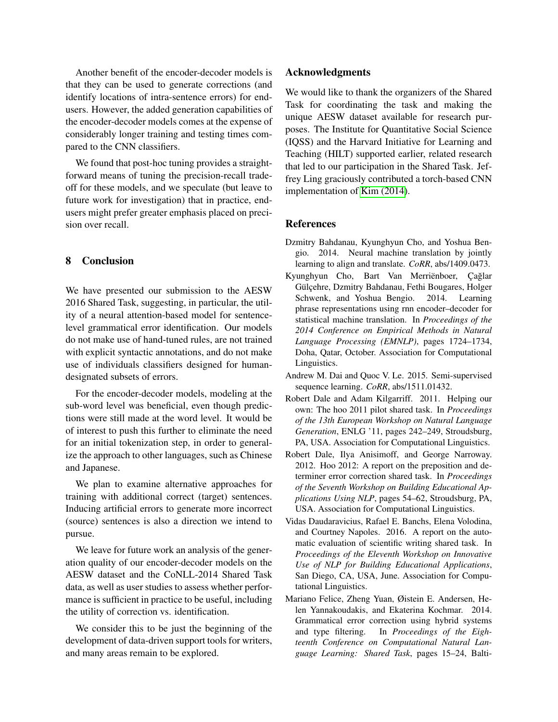Another benefit of the encoder-decoder models is that they can be used to generate corrections (and identify locations of intra-sentence errors) for endusers. However, the added generation capabilities of the encoder-decoder models comes at the expense of considerably longer training and testing times compared to the CNN classifiers.

We found that post-hoc tuning provides a straightforward means of tuning the precision-recall tradeoff for these models, and we speculate (but leave to future work for investigation) that in practice, endusers might prefer greater emphasis placed on precision over recall.

# 8 Conclusion

We have presented our submission to the AESW 2016 Shared Task, suggesting, in particular, the utility of a neural attention-based model for sentencelevel grammatical error identification. Our models do not make use of hand-tuned rules, are not trained with explicit syntactic annotations, and do not make use of individuals classifiers designed for humandesignated subsets of errors.

For the encoder-decoder models, modeling at the sub-word level was beneficial, even though predictions were still made at the word level. It would be of interest to push this further to eliminate the need for an initial tokenization step, in order to generalize the approach to other languages, such as Chinese and Japanese.

We plan to examine alternative approaches for training with additional correct (target) sentences. Inducing artificial errors to generate more incorrect (source) sentences is also a direction we intend to pursue.

We leave for future work an analysis of the generation quality of our encoder-decoder models on the AESW dataset and the CoNLL-2014 Shared Task data, as well as user studies to assess whether performance is sufficient in practice to be useful, including the utility of correction vs. identification.

We consider this to be just the beginning of the development of data-driven support tools for writers, and many areas remain to be explored.

### Acknowledgments

We would like to thank the organizers of the Shared Task for coordinating the task and making the unique AESW dataset available for research purposes. The Institute for Quantitative Social Science (IQSS) and the Harvard Initiative for Learning and Teaching (HILT) supported earlier, related research that led to our participation in the Shared Task. Jeffrey Ling graciously contributed a torch-based CNN implementation of [Kim \(2014\)](#page-0-0).

### **References**

- Dzmitry Bahdanau, Kyunghyun Cho, and Yoshua Bengio. 2014. Neural machine translation by jointly learning to align and translate. *CoRR*, abs/1409.0473.
- Kyunghyun Cho, Bart Van Merriënboer, Çağlar Gülçehre, Dzmitry Bahdanau, Fethi Bougares, Holger Schwenk, and Yoshua Bengio. 2014. Learning phrase representations using rnn encoder–decoder for statistical machine translation. In *Proceedings of the 2014 Conference on Empirical Methods in Natural Language Processing (EMNLP)*, pages 1724–1734, Doha, Qatar, October. Association for Computational Linguistics.
- Andrew M. Dai and Quoc V. Le. 2015. Semi-supervised sequence learning. *CoRR*, abs/1511.01432.
- Robert Dale and Adam Kilgarriff. 2011. Helping our own: The hoo 2011 pilot shared task. In *Proceedings of the 13th European Workshop on Natural Language Generation*, ENLG '11, pages 242–249, Stroudsburg, PA, USA. Association for Computational Linguistics.
- Robert Dale, Ilya Anisimoff, and George Narroway. 2012. Hoo 2012: A report on the preposition and determiner error correction shared task. In *Proceedings of the Seventh Workshop on Building Educational Applications Using NLP*, pages 54–62, Stroudsburg, PA, USA. Association for Computational Linguistics.
- Vidas Daudaravicius, Rafael E. Banchs, Elena Volodina, and Courtney Napoles. 2016. A report on the automatic evaluation of scientific writing shared task. In *Proceedings of the Eleventh Workshop on Innovative Use of NLP for Building Educational Applications*, San Diego, CA, USA, June. Association for Computational Linguistics.
- Mariano Felice, Zheng Yuan, Øistein E. Andersen, Helen Yannakoudakis, and Ekaterina Kochmar. 2014. Grammatical error correction using hybrid systems and type filtering. In *Proceedings of the Eighteenth Conference on Computational Natural Language Learning: Shared Task*, pages 15–24, Balti-